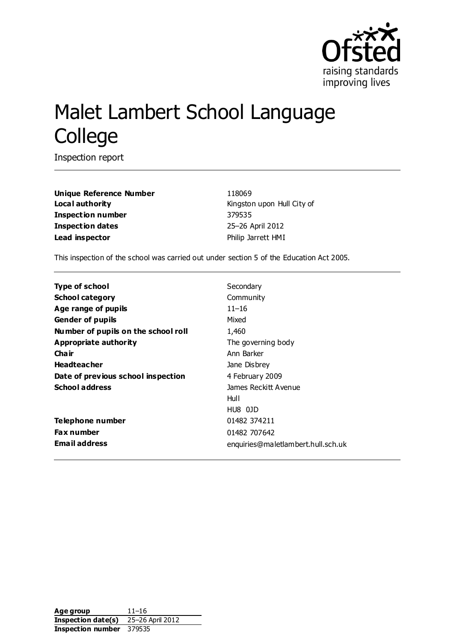

# Malet Lambert School Language College

Inspection report

**Unique Reference Number** 118069 **Local authority Local authority Kingston upon Hull City of Inspection number** 379535 **Inspection dates** 25–26 April 2012 **Lead inspector Lead inspector Philip Jarrett HMI** 

This inspection of the school was carried out under section 5 of the Education Act 2005.

| <b>Type of school</b>               | Secondary                          |
|-------------------------------------|------------------------------------|
| <b>School category</b>              | Community                          |
| Age range of pupils                 | $11 - 16$                          |
| <b>Gender of pupils</b>             | Mixed                              |
| Number of pupils on the school roll | 1,460                              |
| Appropriate authority               | The governing body                 |
| Cha ir                              | Ann Barker                         |
| <b>Headteacher</b>                  | Jane Disbrey                       |
| Date of previous school inspection  | 4 February 2009                    |
| <b>School address</b>               | James Reckitt Avenue               |
|                                     | Hull                               |
|                                     | HU8 01D                            |
| Telephone number                    | 01482 374211                       |
| <b>Fax number</b>                   | 01482 707642                       |
| <b>Email address</b>                | enquiries@maletlambert.hull.sch.uk |

**Age group** 11–16 **Inspection date(s)** 25–26 April 2012 **Inspection number** 379535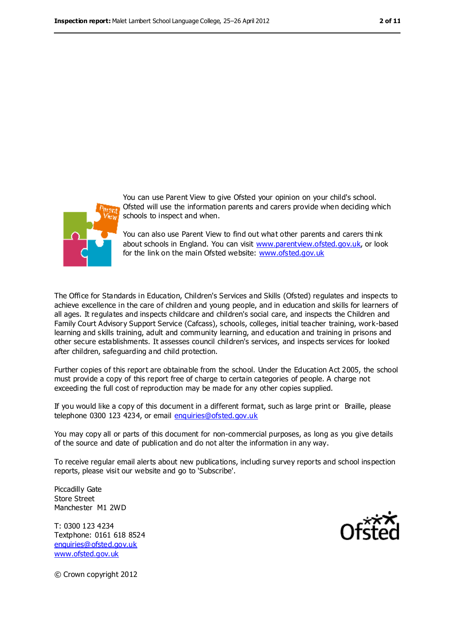

You can use Parent View to give Ofsted your opinion on your child's school. Ofsted will use the information parents and carers provide when deciding which schools to inspect and when.

You can also use Parent View to find out what other parents and carers thi nk about schools in England. You can visit [www.parentview.ofsted.gov.uk,](file:///C:/Users/rcowley/rcowley/AppData/Local/Microsoft/Windows/pjarrett/AppData/Local/Microsoft/Windows/Temporary%20Internet%20Files/Content.IE5/QN4DSE0E/www.parentview.ofsted.gov.uk) or look for the link on the main Ofsted website: [www.ofsted.gov.uk](file:///C:/Users/rcowley/rcowley/AppData/Local/Microsoft/Windows/pjarrett/AppData/Local/Microsoft/Windows/Temporary%20Internet%20Files/Content.IE5/QN4DSE0E/www.ofsted.gov.uk)

The Office for Standards in Education, Children's Services and Skills (Ofsted) regulates and inspects to achieve excellence in the care of children and young people, and in education and skills for learners of all ages. It regulates and inspects childcare and children's social care, and inspects the Children and Family Court Advisory Support Service (Cafcass), schools, colleges, initial teacher training, work-based learning and skills training, adult and community learning, and education and training in prisons and other secure establishments. It assesses council children's services, and inspects services for looked after children, safeguarding and child protection.

Further copies of this report are obtainable from the school. Under the Education Act 2005, the school must provide a copy of this report free of charge to certain categories of people. A charge not exceeding the full cost of reproduction may be made for any other copies supplied.

If you would like a copy of this document in a different format, such as large print or Braille, please telephone 0300 123 4234, or email [enquiries@ofsted.gov.uk](mailto:enquiries@ofsted.gov.uk)

You may copy all or parts of this document for non-commercial purposes, as long as you give details of the source and date of publication and do not alter the information in any way.

To receive regular email alerts about new publications, including survey reports and school inspection reports, please visit our website and go to 'Subscribe'.

Piccadilly Gate Store Street Manchester M1 2WD

T: 0300 123 4234 Textphone: 0161 618 8524 [enquiries@ofsted.gov.uk](mailto:enquiries@ofsted.gov.uk) [www.ofsted.gov.uk](http://www.ofsted.gov.uk/)



© Crown copyright 2012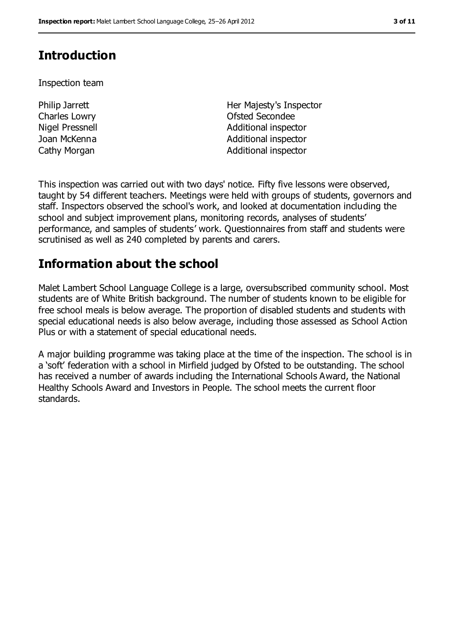# **Introduction**

Inspection team

Philip Jarrett Charles Lowry

Her Majesty's Inspector Ofsted Secondee Nigel Pressnell and a series and a series and Additional inspector Joan McKenna **Additional inspector** Cathy Morgan **Additional inspector** Additional inspector

This inspection was carried out with two days' notice. Fifty five lessons were observed, taught by 54 different teachers. Meetings were held with groups of students, governors and staff. Inspectors observed the school's work, and looked at documentation including the school and subject improvement plans, monitoring records, analyses of students' performance, and samples of students' work. Questionnaires from staff and students were scrutinised as well as 240 completed by parents and carers.

## **Information about the school**

Malet Lambert School Language College is a large, oversubscribed community school. Most students are of White British background. The number of students known to be eligible for free school meals is below average. The proportion of disabled students and students with special educational needs is also below average, including those assessed as School Action Plus or with a statement of special educational needs.

A major building programme was taking place at the time of the inspection. The school is in a 'soft' federation with a school in Mirfield judged by Ofsted to be outstanding. The school has received a number of awards including the International Schools Award, the National Healthy Schools Award and Investors in People. The school meets the current floor standards.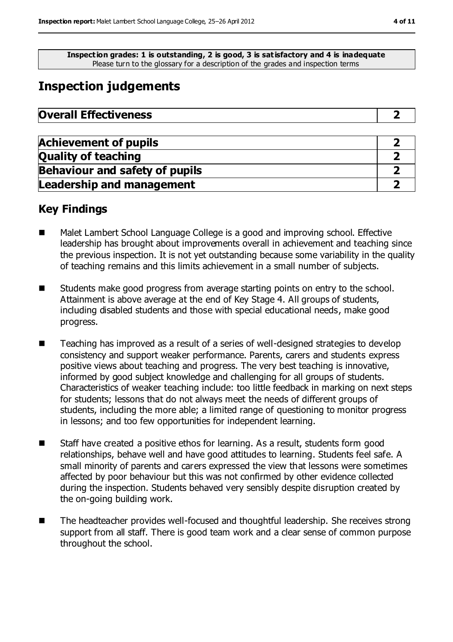**Inspection grades: 1 is outstanding, 2 is good, 3 is satisfactory and 4 is inadequate** Please turn to the glossary for a description of the grades and inspection terms

# **Inspection judgements**

| <b>Overall Effectiveness</b> |  |
|------------------------------|--|
|------------------------------|--|

| <b>Achievement of pupils</b>          |  |
|---------------------------------------|--|
| <b>Quality of teaching</b>            |  |
| <b>Behaviour and safety of pupils</b> |  |
| <b>Leadership and management</b>      |  |

### **Key Findings**

- Malet Lambert School Language College is a good and improving school. Effective leadership has brought about improvements overall in achievement and teaching since the previous inspection. It is not yet outstanding because some variability in the quality of teaching remains and this limits achievement in a small number of subjects.
- Students make good progress from average starting points on entry to the school. Attainment is above average at the end of Key Stage 4. All groups of students, including disabled students and those with special educational needs, make good progress.
- Teaching has improved as a result of a series of well-designed strategies to develop consistency and support weaker performance. Parents, carers and students express positive views about teaching and progress. The very best teaching is innovative, informed by good subject knowledge and challenging for all groups of students. Characteristics of weaker teaching include: too little feedback in marking on next steps for students; lessons that do not always meet the needs of different groups of students, including the more able; a limited range of questioning to monitor progress in lessons; and too few opportunities for independent learning.
- Staff have created a positive ethos for learning. As a result, students form good relationships, behave well and have good attitudes to learning. Students feel safe. A small minority of parents and carers expressed the view that lessons were sometimes affected by poor behaviour but this was not confirmed by other evidence collected during the inspection. Students behaved very sensibly despite disruption created by the on-going building work.
- The headteacher provides well-focused and thoughtful leadership. She receives strong support from all staff. There is good team work and a clear sense of common purpose throughout the school.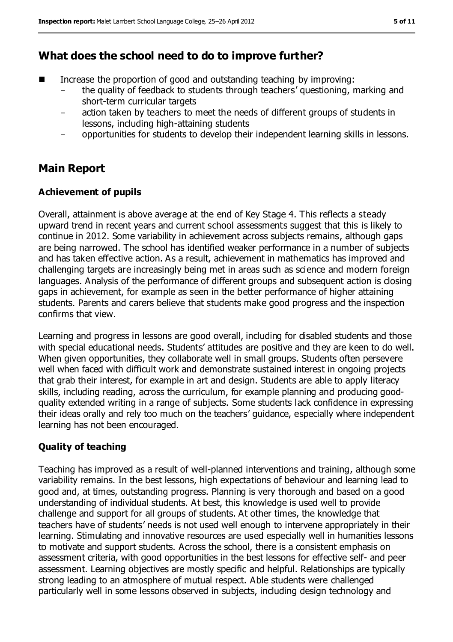### **What does the school need to do to improve further?**

- Increase the proportion of good and outstanding teaching by improving:
	- the quality of feedback to students through teachers' questioning, marking and short-term curricular targets
	- action taken by teachers to meet the needs of different groups of students in lessons, including high-attaining students
	- opportunities for students to develop their independent learning skills in lessons.

### **Main Report**

#### **Achievement of pupils**

Overall, attainment is above average at the end of Key Stage 4. This reflects a steady upward trend in recent years and current school assessments suggest that this is likely to continue in 2012. Some variability in achievement across subjects remains, although gaps are being narrowed. The school has identified weaker performance in a number of subjects and has taken effective action. As a result, achievement in mathematics has improved and challenging targets are increasingly being met in areas such as science and modern foreign languages. Analysis of the performance of different groups and subsequent action is closing gaps in achievement, for example as seen in the better performance of higher attaining students. Parents and carers believe that students make good progress and the inspection confirms that view.

Learning and progress in lessons are good overall, including for disabled students and those with special educational needs. Students' attitudes are positive and they are keen to do well. When given opportunities, they collaborate well in small groups. Students often persevere well when faced with difficult work and demonstrate sustained interest in ongoing projects that grab their interest, for example in art and design. Students are able to apply literacy skills, including reading, across the curriculum, for example planning and producing goodquality extended writing in a range of subjects. Some students lack confidence in expressing their ideas orally and rely too much on the teachers' guidance, especially where independent learning has not been encouraged.

#### **Quality of teaching**

Teaching has improved as a result of well-planned interventions and training, although some variability remains. In the best lessons, high expectations of behaviour and learning lead to good and, at times, outstanding progress. Planning is very thorough and based on a good understanding of individual students. At best, this knowledge is used well to provide challenge and support for all groups of students. At other times, the knowledge that teachers have of students' needs is not used well enough to intervene appropriately in their learning. Stimulating and innovative resources are used especially well in humanities lessons to motivate and support students. Across the school, there is a consistent emphasis on assessment criteria, with good opportunities in the best lessons for effective self- and peer assessment. Learning objectives are mostly specific and helpful. Relationships are typically strong leading to an atmosphere of mutual respect. Able students were challenged particularly well in some lessons observed in subjects, including design technology and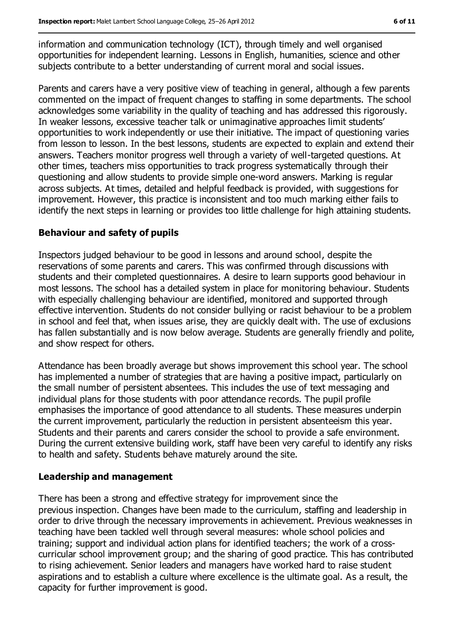information and communication technology (ICT), through timely and well organised opportunities for independent learning. Lessons in English, humanities, science and other subjects contribute to a better understanding of current moral and social issues.

Parents and carers have a very positive view of teaching in general, although a few parents commented on the impact of frequent changes to staffing in some departments. The school acknowledges some variability in the quality of teaching and has addressed this rigorously. In weaker lessons, excessive teacher talk or unimaginative approaches limit students' opportunities to work independently or use their initiative. The impact of questioning varies from lesson to lesson. In the best lessons, students are expected to explain and extend their answers. Teachers monitor progress well through a variety of well-targeted questions. At other times, teachers miss opportunities to track progress systematically through their questioning and allow students to provide simple one-word answers. Marking is regular across subjects. At times, detailed and helpful feedback is provided, with suggestions for improvement. However, this practice is inconsistent and too much marking either fails to identify the next steps in learning or provides too little challenge for high attaining students.

#### **Behaviour and safety of pupils**

Inspectors judged behaviour to be good in lessons and around school, despite the reservations of some parents and carers. This was confirmed through discussions with students and their completed questionnaires. A desire to learn supports good behaviour in most lessons. The school has a detailed system in place for monitoring behaviour. Students with especially challenging behaviour are identified, monitored and supported through effective intervention. Students do not consider bullying or racist behaviour to be a problem in school and feel that, when issues arise, they are quickly dealt with. The use of exclusions has fallen substantially and is now below average. Students are generally friendly and polite, and show respect for others.

Attendance has been broadly average but shows improvement this school year. The school has implemented a number of strategies that are having a positive impact, particularly on the small number of persistent absentees. This includes the use of text messaging and individual plans for those students with poor attendance records. The pupil profile emphasises the importance of good attendance to all students. These measures underpin the current improvement, particularly the reduction in persistent absenteeism this year. Students and their parents and carers consider the school to provide a safe environment. During the current extensive building work, staff have been very careful to identify any risks to health and safety. Students behave maturely around the site.

#### **Leadership and management**

There has been a strong and effective strategy for improvement since the previous inspection. Changes have been made to the curriculum, staffing and leadership in order to drive through the necessary improvements in achievement. Previous weaknesses in teaching have been tackled well through several measures: whole school policies and training; support and individual action plans for identified teachers; the work of a crosscurricular school improvement group; and the sharing of good practice. This has contributed to rising achievement. Senior leaders and managers have worked hard to raise student aspirations and to establish a culture where excellence is the ultimate goal. As a result, the capacity for further improvement is good.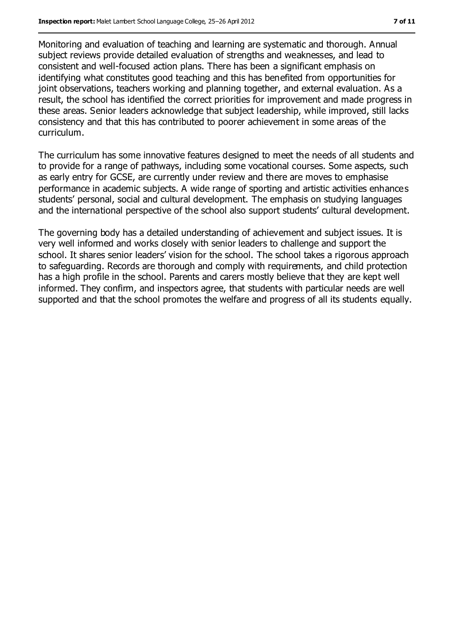Monitoring and evaluation of teaching and learning are systematic and thorough. Annual subject reviews provide detailed evaluation of strengths and weaknesses, and lead to consistent and well-focused action plans. There has been a significant emphasis on identifying what constitutes good teaching and this has benefited from opportunities for joint observations, teachers working and planning together, and external evaluation. As a result, the school has identified the correct priorities for improvement and made progress in these areas. Senior leaders acknowledge that subject leadership, while improved, still lacks consistency and that this has contributed to poorer achievement in some areas of the curriculum.

The curriculum has some innovative features designed to meet the needs of all students and to provide for a range of pathways, including some vocational courses. Some aspects, such as early entry for GCSE, are currently under review and there are moves to emphasise performance in academic subjects. A wide range of sporting and artistic activities enhances students' personal, social and cultural development. The emphasis on studying languages and the international perspective of the school also support students' cultural development.

The governing body has a detailed understanding of achievement and subject issues. It is very well informed and works closely with senior leaders to challenge and support the school. It shares senior leaders' vision for the school. The school takes a rigorous approach to safeguarding. Records are thorough and comply with requirements, and child protection has a high profile in the school. Parents and carers mostly believe that they are kept well informed. They confirm, and inspectors agree, that students with particular needs are well supported and that the school promotes the welfare and progress of all its students equally.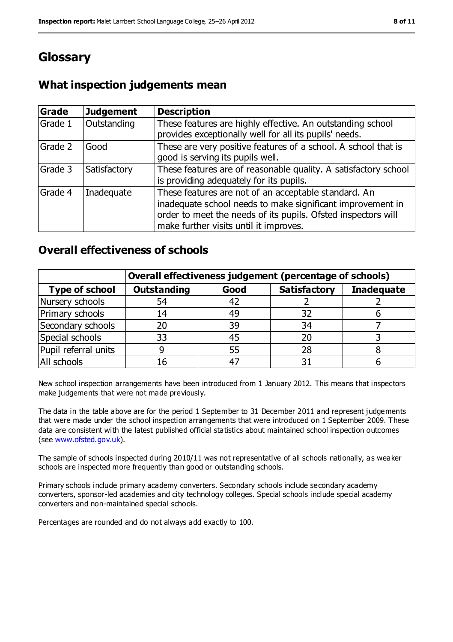# **Glossary**

### **What inspection judgements mean**

| <b>Grade</b> | <b>Judgement</b> | <b>Description</b>                                                                                                                                                                                                            |
|--------------|------------------|-------------------------------------------------------------------------------------------------------------------------------------------------------------------------------------------------------------------------------|
| Grade 1      | Outstanding      | These features are highly effective. An outstanding school<br>provides exceptionally well for all its pupils' needs.                                                                                                          |
| Grade 2      | Good             | These are very positive features of a school. A school that is<br>good is serving its pupils well.                                                                                                                            |
| Grade 3      | Satisfactory     | These features are of reasonable quality. A satisfactory school<br>is providing adequately for its pupils.                                                                                                                    |
| Grade 4      | Inadequate       | These features are not of an acceptable standard. An<br>inadequate school needs to make significant improvement in<br>order to meet the needs of its pupils. Ofsted inspectors will<br>make further visits until it improves. |

### **Overall effectiveness of schools**

|                       | Overall effectiveness judgement (percentage of schools) |      |                     |                   |
|-----------------------|---------------------------------------------------------|------|---------------------|-------------------|
| <b>Type of school</b> | <b>Outstanding</b>                                      | Good | <b>Satisfactory</b> | <b>Inadequate</b> |
| Nursery schools       | 54                                                      | 42   |                     |                   |
| Primary schools       | 14                                                      | 49   | 32                  |                   |
| Secondary schools     | 20                                                      | 39   | 34                  |                   |
| Special schools       | 33                                                      | 45   | 20                  |                   |
| Pupil referral units  |                                                         | 55   | 28                  |                   |
| All schools           | 16                                                      | $-4$ |                     |                   |

New school inspection arrangements have been introduced from 1 January 2012. This means that inspectors make judgements that were not made previously.

The data in the table above are for the period 1 September to 31 December 2011 and represent judgements that were made under the school inspection arrangements that were introduced on 1 September 2009. These data are consistent with the latest published official statistics about maintained school inspection outcomes (see [www.ofsted.gov.uk\)](file:///C:/Users/rcowley/rcowley/AppData/Local/Microsoft/Windows/pjarrett/AppData/Local/Microsoft/Windows/Temporary%20Internet%20Files/Content.IE5/QN4DSE0E/www.ofsted.gov.uk).

The sample of schools inspected during 2010/11 was not representative of all schools nationally, as weaker schools are inspected more frequently than good or outstanding schools.

Primary schools include primary academy converters. Secondary schools include secondary academy converters, sponsor-led academies and city technology colleges. Special schools include special academy converters and non-maintained special schools.

Percentages are rounded and do not always add exactly to 100.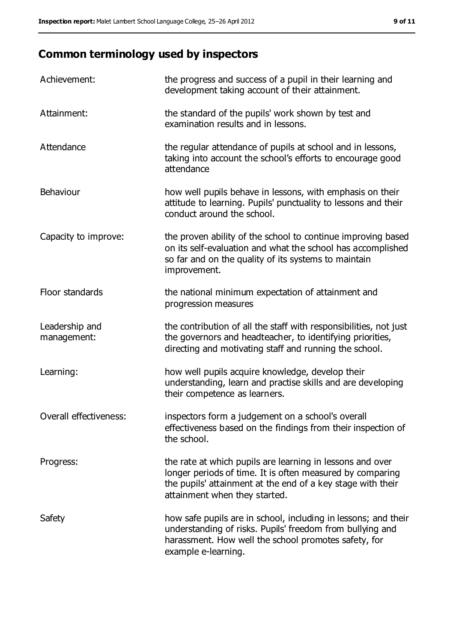# **Common terminology used by inspectors**

| Achievement:                  | the progress and success of a pupil in their learning and<br>development taking account of their attainment.                                                                                                           |
|-------------------------------|------------------------------------------------------------------------------------------------------------------------------------------------------------------------------------------------------------------------|
| Attainment:                   | the standard of the pupils' work shown by test and<br>examination results and in lessons.                                                                                                                              |
| Attendance                    | the regular attendance of pupils at school and in lessons,<br>taking into account the school's efforts to encourage good<br>attendance                                                                                 |
| Behaviour                     | how well pupils behave in lessons, with emphasis on their<br>attitude to learning. Pupils' punctuality to lessons and their<br>conduct around the school.                                                              |
| Capacity to improve:          | the proven ability of the school to continue improving based<br>on its self-evaluation and what the school has accomplished<br>so far and on the quality of its systems to maintain<br>improvement.                    |
| Floor standards               | the national minimum expectation of attainment and<br>progression measures                                                                                                                                             |
| Leadership and<br>management: | the contribution of all the staff with responsibilities, not just<br>the governors and headteacher, to identifying priorities,<br>directing and motivating staff and running the school.                               |
| Learning:                     | how well pupils acquire knowledge, develop their<br>understanding, learn and practise skills and are developing<br>their competence as learners.                                                                       |
| Overall effectiveness:        | inspectors form a judgement on a school's overall<br>effectiveness based on the findings from their inspection of<br>the school.                                                                                       |
| Progress:                     | the rate at which pupils are learning in lessons and over<br>longer periods of time. It is often measured by comparing<br>the pupils' attainment at the end of a key stage with their<br>attainment when they started. |
| Safety                        | how safe pupils are in school, including in lessons; and their<br>understanding of risks. Pupils' freedom from bullying and<br>harassment. How well the school promotes safety, for<br>example e-learning.             |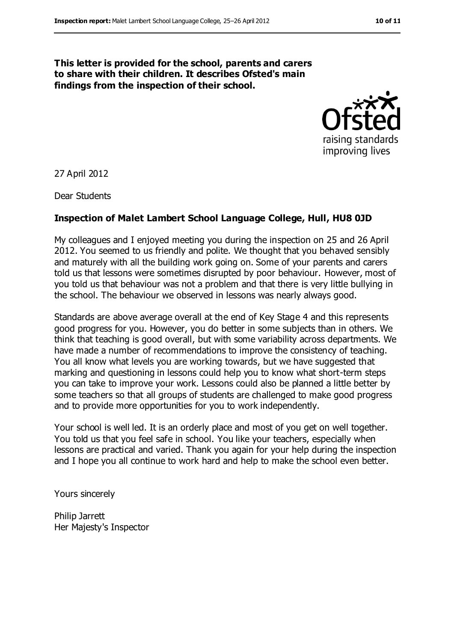#### **This letter is provided for the school, parents and carers to share with their children. It describes Ofsted's main findings from the inspection of their school.**



27 April 2012

Dear Students

#### **Inspection of Malet Lambert School Language College, Hull, HU8 0JD**

My colleagues and I enjoyed meeting you during the inspection on 25 and 26 April 2012. You seemed to us friendly and polite. We thought that you behaved sensibly and maturely with all the building work going on. Some of your parents and carers told us that lessons were sometimes disrupted by poor behaviour. However, most of you told us that behaviour was not a problem and that there is very little bullying in the school. The behaviour we observed in lessons was nearly always good.

Standards are above average overall at the end of Key Stage 4 and this represents good progress for you. However, you do better in some subjects than in others. We think that teaching is good overall, but with some variability across departments. We have made a number of recommendations to improve the consistency of teaching. You all know what levels you are working towards, but we have suggested that marking and questioning in lessons could help you to know what short-term steps you can take to improve your work. Lessons could also be planned a little better by some teachers so that all groups of students are challenged to make good progress and to provide more opportunities for you to work independently.

Your school is well led. It is an orderly place and most of you get on well together. You told us that you feel safe in school. You like your teachers, especially when lessons are practical and varied. Thank you again for your help during the inspection and I hope you all continue to work hard and help to make the school even better.

Yours sincerely

Philip Jarrett Her Majesty's Inspector